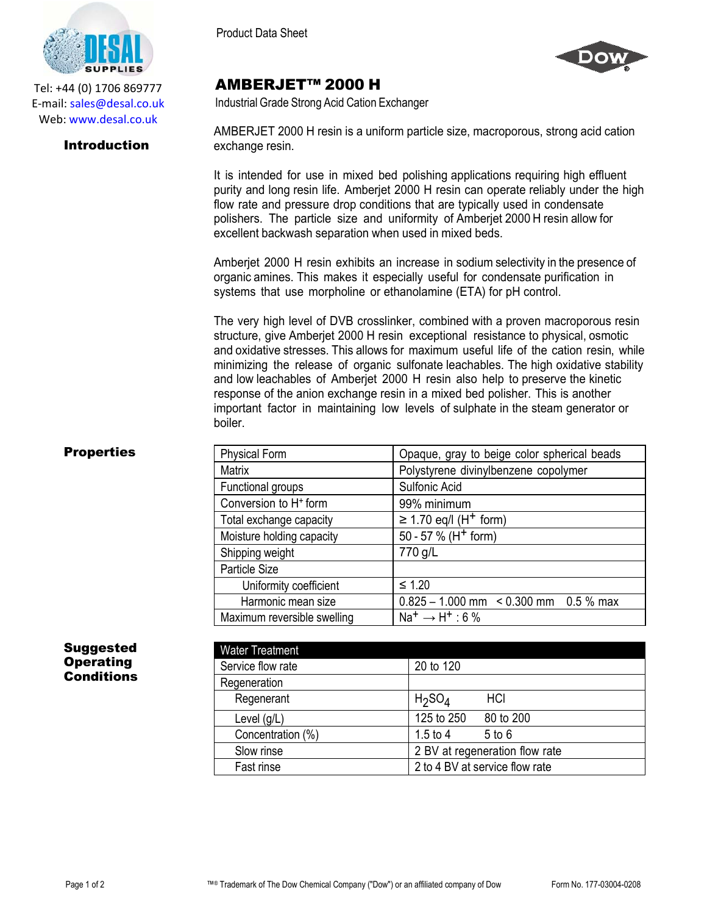

Tel: +44 (0) 1706 869777 E‐mail: sales@desal.co.uk Web: www.desal.co.uk

### Introduction

Product Data Sheet



# AMBERJET™ 2000 H

Industrial Grade Strong Acid Cation Exchanger

AMBERJET 2000 H resin is a uniform particle size, macroporous, strong acid cation exchange resin.

It is intended for use in mixed bed polishing applications requiring high effluent purity and long resin life. Amberjet 2000 H resin can operate reliably under the high flow rate and pressure drop conditions that are typically used in condensate polishers. The particle size and uniformity of Amberjet 2000 H resin allow for excellent backwash separation when used in mixed beds.

Amberjet 2000 H resin exhibits an increase in sodium selectivity in the presence of organic amines. This makes it especially useful for condensate purification in systems that use morpholine or ethanolamine (ETA) for pH control.

The very high level of DVB crosslinker, combined with a proven macroporous resin structure, give Amberjet 2000 H resin exceptional resistance to physical, osmotic and oxidative stresses. This allows for maximum useful life of the cation resin, while minimizing the release of organic sulfonate leachables. The high oxidative stability and low leachables of Amberjet 2000 H resin also help to preserve the kinetic response of the anion exchange resin in a mixed bed polisher. This is another important factor in maintaining low levels of sulphate in the steam generator or boiler.

## **Properties**

| <b>Physical Form</b>              | Opaque, gray to beige color spherical beads  |
|-----------------------------------|----------------------------------------------|
| <b>Matrix</b>                     | Polystyrene divinylbenzene copolymer         |
| Functional groups                 | Sulfonic Acid                                |
| Conversion to H <sup>+</sup> form | 99% minimum                                  |
| Total exchange capacity           | $\geq$ 1.70 eq/l (H <sup>+</sup> form)       |
| Moisture holding capacity         | 50 - 57 % (H <sup>+</sup> form)              |
| Shipping weight                   | 770 g/L                                      |
| Particle Size                     |                                              |
| Uniformity coefficient            | $\leq 1.20$                                  |
| Harmonic mean size                | $0.825 - 1.000$ mm $\leq 0.300$ mm 0.5 % max |
| Maximum reversible swelling       | $Na^+ \rightarrow H^+$ : 6 %                 |

#### Suggested **Operating Conditions**

| <b>Water Treatment</b> |                                       |
|------------------------|---------------------------------------|
| Service flow rate      | 20 to 120                             |
| Regeneration           |                                       |
| Regenerant             | H <sub>2</sub> SO <sub>4</sub><br>HCI |
| Level $(g/L)$          | 125 to 250<br>80 to 200               |
| Concentration (%)      | $1.5$ to $4$<br>$5$ to $6$            |
| Slow rinse             | 2 BV at regeneration flow rate        |
| Fast rinse             | 2 to 4 BV at service flow rate        |